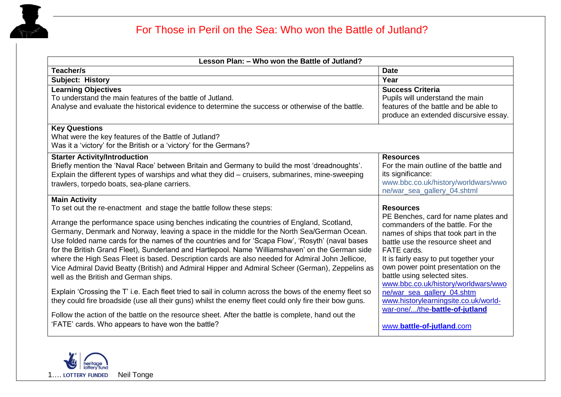

| Lesson Plan: - Who won the Battle of Jutland?                                                                                                                                                                                                                                                                                                                                                                                                                                                                                                                                                                                                                                                                                                                                                                                                                                                                                                                                                                                                                                                                                  |                                                                                                                                                                                                                                                                                                                                                                                                                                                                                        |
|--------------------------------------------------------------------------------------------------------------------------------------------------------------------------------------------------------------------------------------------------------------------------------------------------------------------------------------------------------------------------------------------------------------------------------------------------------------------------------------------------------------------------------------------------------------------------------------------------------------------------------------------------------------------------------------------------------------------------------------------------------------------------------------------------------------------------------------------------------------------------------------------------------------------------------------------------------------------------------------------------------------------------------------------------------------------------------------------------------------------------------|----------------------------------------------------------------------------------------------------------------------------------------------------------------------------------------------------------------------------------------------------------------------------------------------------------------------------------------------------------------------------------------------------------------------------------------------------------------------------------------|
| Teacher/s                                                                                                                                                                                                                                                                                                                                                                                                                                                                                                                                                                                                                                                                                                                                                                                                                                                                                                                                                                                                                                                                                                                      | <b>Date</b>                                                                                                                                                                                                                                                                                                                                                                                                                                                                            |
| <b>Subject: History</b>                                                                                                                                                                                                                                                                                                                                                                                                                                                                                                                                                                                                                                                                                                                                                                                                                                                                                                                                                                                                                                                                                                        | Year                                                                                                                                                                                                                                                                                                                                                                                                                                                                                   |
| <b>Learning Objectives</b><br>To understand the main features of the battle of Jutland.<br>Analyse and evaluate the historical evidence to determine the success or otherwise of the battle.                                                                                                                                                                                                                                                                                                                                                                                                                                                                                                                                                                                                                                                                                                                                                                                                                                                                                                                                   | <b>Success Criteria</b><br>Pupils will understand the main<br>features of the battle and be able to<br>produce an extended discursive essay.                                                                                                                                                                                                                                                                                                                                           |
| <b>Key Questions</b><br>What were the key features of the Battle of Jutland?<br>Was it a 'victory' for the British or a 'victory' for the Germans?                                                                                                                                                                                                                                                                                                                                                                                                                                                                                                                                                                                                                                                                                                                                                                                                                                                                                                                                                                             |                                                                                                                                                                                                                                                                                                                                                                                                                                                                                        |
| <b>Starter Activity/Introduction</b><br>Briefly mention the 'Naval Race' between Britain and Germany to build the most 'dreadnoughts'.<br>Explain the different types of warships and what they did - cruisers, submarines, mine-sweeping<br>trawlers, torpedo boats, sea-plane carriers.                                                                                                                                                                                                                                                                                                                                                                                                                                                                                                                                                                                                                                                                                                                                                                                                                                      | <b>Resources</b><br>For the main outline of the battle and<br>its significance:<br>www.bbc.co.uk/history/worldwars/wwo<br>ne/war_sea_gallery_04.shtml                                                                                                                                                                                                                                                                                                                                  |
| <b>Main Activity</b><br>To set out the re-enactment and stage the battle follow these steps:<br>Arrange the performance space using benches indicating the countries of England, Scotland,<br>Germany, Denmark and Norway, leaving a space in the middle for the North Sea/German Ocean.<br>Use folded name cards for the names of the countries and for 'Scapa Flow', 'Rosyth' (naval bases<br>for the British Grand Fleet), Sunderland and Hartlepool. Name 'Williamshaven' on the German side<br>where the High Seas Fleet is based. Description cards are also needed for Admiral John Jellicoe,<br>Vice Admiral David Beatty (British) and Admiral Hipper and Admiral Scheer (German), Zeppelins as<br>well as the British and German ships.<br>Explain 'Crossing the T' i.e. Each fleet tried to sail in column across the bows of the enemy fleet so<br>they could fire broadside (use all their guns) whilst the enemy fleet could only fire their bow guns.<br>Follow the action of the battle on the resource sheet. After the battle is complete, hand out the<br>'FATE' cards. Who appears to have won the battle? | <b>Resources</b><br>PE Benches, card for name plates and<br>commanders of the battle. For the<br>names of ships that took part in the<br>battle use the resource sheet and<br>FATE cards.<br>It is fairly easy to put together your<br>own power point presentation on the<br>battle using selected sites.<br>www.bbc.co.uk/history/worldwars/wwo<br>ne/war_sea_gallery_04.shtm<br>www.historylearningsite.co.uk/world-<br>war-one//the-battle-of-jutland<br>www.battle-of-jutland.com |

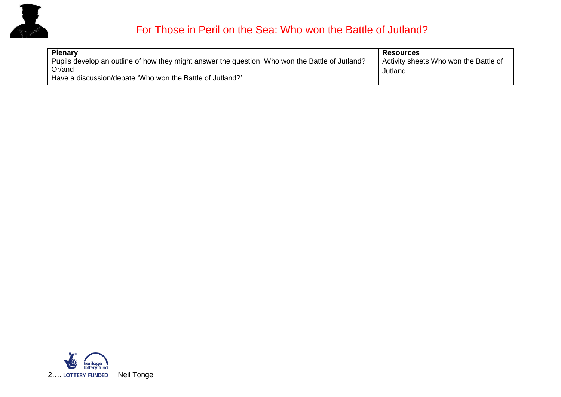

| <b>Plenary</b>                                                                                  | <b>Resources</b>                      |
|-------------------------------------------------------------------------------------------------|---------------------------------------|
| Pupils develop an outline of how they might answer the question; Who won the Battle of Jutland? | Activity sheets Who won the Battle of |
| Or/and                                                                                          | Jutland                               |
| Have a discussion/debate 'Who won the Battle of Jutland?'                                       |                                       |

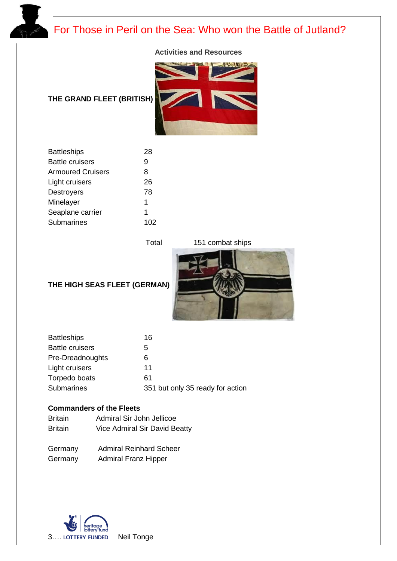

#### **Activities and Resources**

### **THE GRAND FLEET (BRITISH)**



| <b>Battleships</b>       | 28  |
|--------------------------|-----|
| <b>Battle cruisers</b>   | 9   |
| <b>Armoured Cruisers</b> | 8   |
| Light cruisers           | 26  |
| <b>Destroyers</b>        | 78  |
| Minelayer                | 1   |
| Seaplane carrier         | 1   |
| Submarines               | 102 |
|                          |     |

Total 151 combat ships



### **THE HIGH SEAS FLEET (GERMAN)**

| <b>Battleships</b>     | 16                               |
|------------------------|----------------------------------|
| <b>Battle cruisers</b> | 5                                |
| Pre-Dreadnoughts       | 6                                |
| Light cruisers         | 11                               |
| Torpedo boats          | 61                               |
| <b>Submarines</b>      | 351 but only 35 ready for action |

### **Commanders of the Fleets**

| <b>Britain</b> | Admiral Sir John Jellicoe     |
|----------------|-------------------------------|
| <b>Britain</b> | Vice Admiral Sir David Beatty |

| Germany | <b>Admiral Reinhard Scheer</b> |
|---------|--------------------------------|
| Germany | <b>Admiral Franz Hipper</b>    |

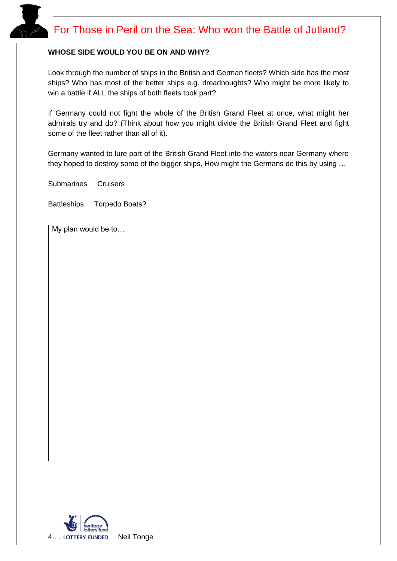#### **WHOSE SIDE WOULD YOU BE ON AND WHY?**

Look through the number of ships in the British and German fleets? Which side has the most ships? Who has most of the better ships e.g. dreadnoughts? Who might be more likely to win a battle if ALL the ships of both fleets took part?

If Germany could not fight the whole of the British Grand Fleet at once, what might her admirals try and do? (Think about how you might divide the British Grand Fleet and fight some of the fleet rather than all of it).

Germany wanted to lure part of the British Grand Fleet into the waters near Germany where they hoped to destroy some of the bigger ships. How might the Germans do this by using …

Submarines Cruisers

Battleships Torpedo Boats?

My plan would be to…

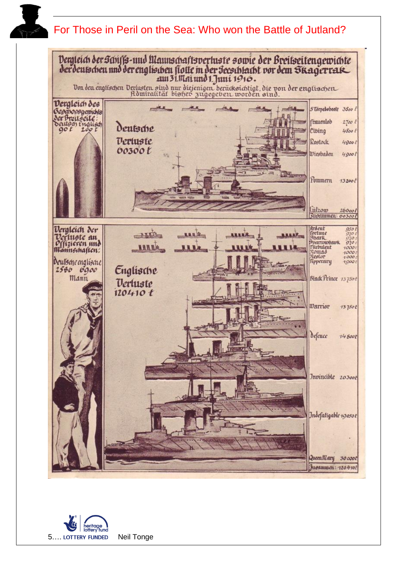

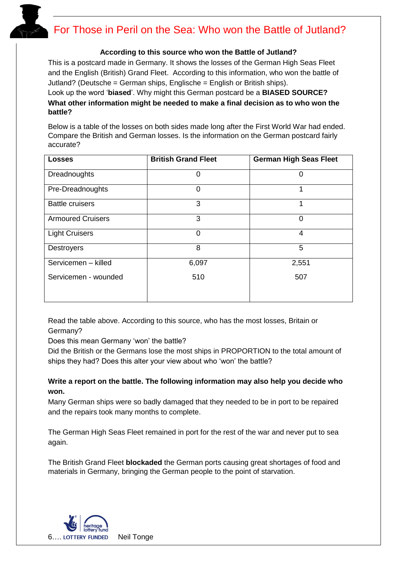#### **According to this source who won the Battle of Jutland?**

This is a postcard made in Germany. It shows the losses of the German High Seas Fleet and the English (British) Grand Fleet. According to this information, who won the battle of Jutland? (Deutsche = German ships, Englische = English or British ships).

Look up the word '**biased**'. Why might this German postcard be a **BIASED SOURCE? What other information might be needed to make a final decision as to who won the battle?** 

Below is a table of the losses on both sides made long after the First World War had ended. Compare the British and German losses. Is the information on the German postcard fairly accurate?

| <b>Losses</b>            | <b>British Grand Fleet</b> | <b>German High Seas Fleet</b> |
|--------------------------|----------------------------|-------------------------------|
| Dreadnoughts             | ი                          | 0                             |
| Pre-Dreadnoughts         | $\Omega$                   |                               |
| <b>Battle cruisers</b>   | 3                          |                               |
| <b>Armoured Cruisers</b> | 3                          | 0                             |
| <b>Light Cruisers</b>    | $\Omega$                   | 4                             |
| <b>Destroyers</b>        | 8                          | 5                             |
| Servicemen - killed      | 6,097                      | 2,551                         |
| Servicemen - wounded     | 510                        | 507                           |

Read the table above. According to this source, who has the most losses, Britain or Germany?

Does this mean Germany 'won' the battle?

Did the British or the Germans lose the most ships in PROPORTION to the total amount of ships they had? Does this alter your view about who 'won' the battle?

### **Write a report on the battle. The following information may also help you decide who won.**

Many German ships were so badly damaged that they needed to be in port to be repaired and the repairs took many months to complete.

The German High Seas Fleet remained in port for the rest of the war and never put to sea again.

The British Grand Fleet **blockaded** the German ports causing great shortages of food and materials in Germany, bringing the German people to the point of starvation.

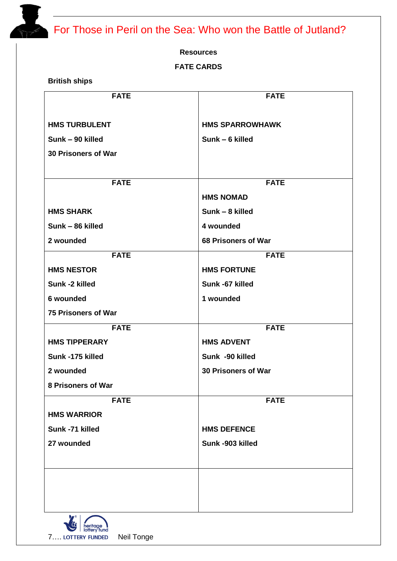#### **Resources**

### **FATE CARDS**

**British ships**

| <b>FATE</b>                | <b>FATE</b>            |
|----------------------------|------------------------|
|                            |                        |
| <b>HMS TURBULENT</b>       | <b>HMS SPARROWHAWK</b> |
| Sunk - 90 killed           | Sunk - 6 killed        |
| 30 Prisoners of War        |                        |
|                            |                        |
| <b>FATE</b>                | <b>FATE</b>            |
|                            | <b>HMS NOMAD</b>       |
| <b>HMS SHARK</b>           | Sunk - 8 killed        |
| Sunk - 86 killed           | 4 wounded              |
| 2 wounded                  | 68 Prisoners of War    |
| <b>FATE</b>                | <b>FATE</b>            |
| <b>HMS NESTOR</b>          | <b>HMS FORTUNE</b>     |
| Sunk -2 killed             | Sunk -67 killed        |
| 6 wounded                  | 1 wounded              |
| <b>75 Prisoners of War</b> |                        |
| <b>FATE</b>                | <b>FATE</b>            |
| <b>HMS TIPPERARY</b>       | <b>HMS ADVENT</b>      |
| Sunk -175 killed           | Sunk -90 killed        |
| 2 wounded                  | 30 Prisoners of War    |
| 8 Prisoners of War         |                        |
| <b>FATE</b>                | <b>FATE</b>            |
| <b>HMS WARRIOR</b>         |                        |
| Sunk -71 killed            | <b>HMS DEFENCE</b>     |
| 27 wounded                 | Sunk -903 killed       |
|                            |                        |
|                            |                        |
|                            |                        |
|                            |                        |
|                            |                        |

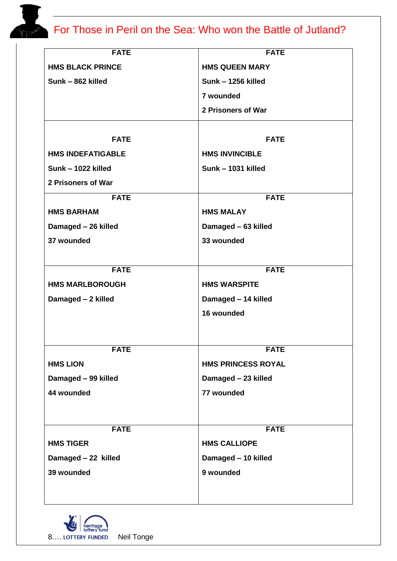| <b>FATE</b>                     | <b>FATE</b>                        |
|---------------------------------|------------------------------------|
| <b>HMS BLACK PRINCE</b>         | <b>HMS QUEEN MARY</b>              |
| Sunk - 862 killed               | Sunk - 1256 killed                 |
|                                 | 7 wounded                          |
|                                 | 2 Prisoners of War                 |
|                                 |                                    |
| <b>FATE</b>                     | <b>FATE</b>                        |
| <b>HMS INDEFATIGABLE</b>        | <b>HMS INVINCIBLE</b>              |
| Sunk - 1022 killed              | Sunk - 1031 killed                 |
| 2 Prisoners of War              |                                    |
| <b>FATE</b>                     | <b>FATE</b>                        |
| <b>HMS BARHAM</b>               | <b>HMS MALAY</b>                   |
| Damaged - 26 killed             | Damaged - 63 killed                |
| 37 wounded                      | 33 wounded                         |
|                                 |                                    |
| <b>FATE</b>                     | <b>FATE</b>                        |
| <b>HMS MARLBOROUGH</b>          | <b>HMS WARSPITE</b>                |
| Damaged - 2 killed              | Damaged - 14 killed                |
|                                 | 16 wounded                         |
|                                 |                                    |
| <b>FATE</b>                     | <b>FATE</b>                        |
| <b>HMS LION</b>                 | <b>HMS PRINCESS ROYAL</b>          |
| Damaged - 99 killed             | Damaged - 23 killed                |
| 44 wounded                      | 77 wounded                         |
|                                 |                                    |
|                                 |                                    |
| <b>FATE</b><br><b>HMS TIGER</b> | <b>FATE</b><br><b>HMS CALLIOPE</b> |
|                                 |                                    |
| Damaged - 22 killed             | Damaged - 10 killed                |
| 39 wounded                      | 9 wounded                          |
|                                 |                                    |

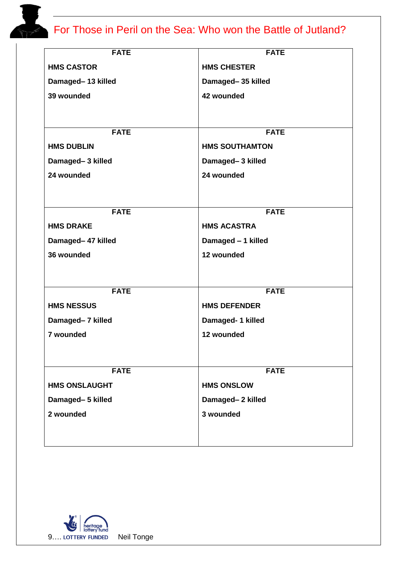| <b>FATE</b>          | <b>FATE</b>           |
|----------------------|-----------------------|
| <b>HMS CASTOR</b>    | <b>HMS CHESTER</b>    |
| Damaged-13 killed    | Damaged-35 killed     |
| 39 wounded           | 42 wounded            |
|                      |                       |
|                      |                       |
| <b>FATE</b>          | <b>FATE</b>           |
| <b>HMS DUBLIN</b>    | <b>HMS SOUTHAMTON</b> |
| Damaged-3 killed     | Damaged-3 killed      |
| 24 wounded           | 24 wounded            |
|                      |                       |
| <b>FATE</b>          | <b>FATE</b>           |
| <b>HMS DRAKE</b>     | <b>HMS ACASTRA</b>    |
| Damaged- 47 killed   | Damaged - 1 killed    |
| 36 wounded           | 12 wounded            |
|                      |                       |
|                      |                       |
| <b>FATE</b>          | <b>FATE</b>           |
| <b>HMS NESSUS</b>    | <b>HMS DEFENDER</b>   |
| Damaged- 7 killed    | Damaged- 1 killed     |
| 7 wounded            | 12 wounded            |
|                      |                       |
|                      |                       |
| <b>FATE</b>          | <b>FATE</b>           |
| <b>HMS ONSLAUGHT</b> | <b>HMS ONSLOW</b>     |
| Damaged-5 killed     | Damaged-2 killed      |
| 2 wounded            | 3 wounded             |
|                      |                       |
|                      |                       |

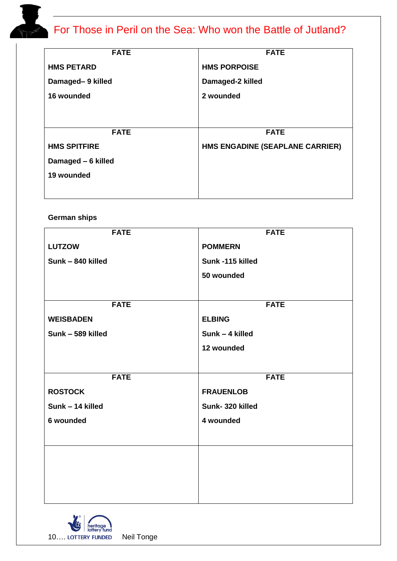| <b>FATE</b>         | <b>FATE</b>                     |
|---------------------|---------------------------------|
| <b>HMS PETARD</b>   | <b>HMS PORPOISE</b>             |
| Damaged-9 killed    | Damaged-2 killed                |
| 16 wounded          | 2 wounded                       |
|                     |                                 |
|                     |                                 |
| <b>FATE</b>         | <b>FATE</b>                     |
| <b>HMS SPITFIRE</b> | HMS ENGADINE (SEAPLANE CARRIER) |
| Damaged - 6 killed  |                                 |
| 19 wounded          |                                 |
|                     |                                 |

### **German ships**

| <b>FATE</b>       | <b>FATE</b>      |
|-------------------|------------------|
| <b>LUTZOW</b>     | <b>POMMERN</b>   |
|                   |                  |
| Sunk - 840 killed | Sunk -115 killed |
|                   | 50 wounded       |
|                   |                  |
|                   |                  |
| <b>FATE</b>       | <b>FATE</b>      |
| <b>WEISBADEN</b>  | <b>ELBING</b>    |
| Sunk - 589 killed | Sunk - 4 killed  |
|                   | 12 wounded       |
|                   |                  |
| <b>FATE</b>       | <b>FATE</b>      |
|                   |                  |
| <b>ROSTOCK</b>    | <b>FRAUENLOB</b> |
|                   |                  |
| Sunk - 14 killed  | Sunk-320 killed  |
| 6 wounded         | 4 wounded        |
|                   |                  |
|                   |                  |
|                   |                  |
|                   |                  |
|                   |                  |
|                   |                  |

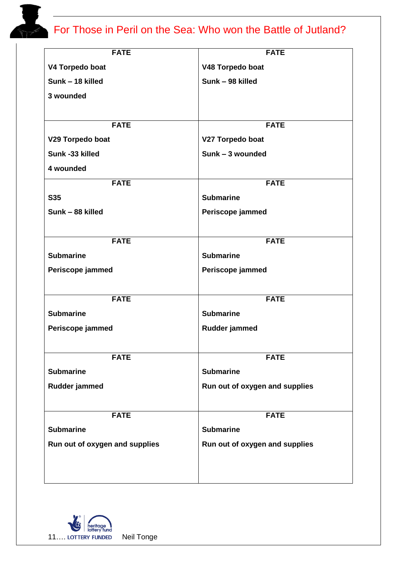| <b>FATE</b>                    |
|--------------------------------|
| V48 Torpedo boat               |
| Sunk - 98 killed               |
|                                |
|                                |
| <b>FATE</b>                    |
| V27 Torpedo boat               |
| Sunk - 3 wounded               |
|                                |
| <b>FATE</b>                    |
| <b>Submarine</b>               |
| Periscope jammed               |
|                                |
| <b>FATE</b>                    |
| <b>Submarine</b>               |
| Periscope jammed               |
|                                |
| <b>FATE</b>                    |
| <b>Submarine</b>               |
| Rudder jammed                  |
|                                |
| <b>FATE</b>                    |
| <b>Submarine</b>               |
| Run out of oxygen and supplies |
|                                |
| <b>FATE</b>                    |
| <b>Submarine</b>               |
| Run out of oxygen and supplies |
|                                |
|                                |
|                                |

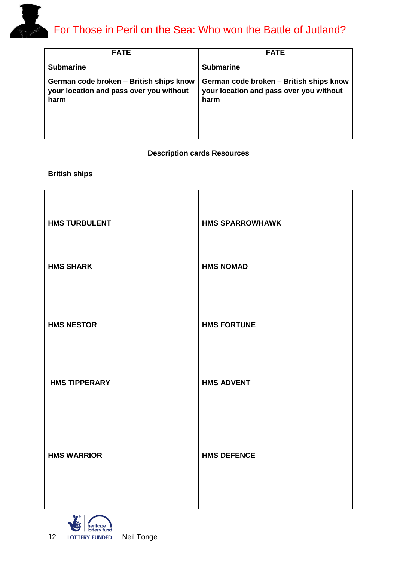| <b>FATE</b>                                                                                | <b>FATE</b>                                                                                |
|--------------------------------------------------------------------------------------------|--------------------------------------------------------------------------------------------|
| <b>Submarine</b>                                                                           | <b>Submarine</b>                                                                           |
| German code broken - British ships know<br>your location and pass over you without<br>harm | German code broken - British ships know<br>your location and pass over you without<br>harm |

### **Description cards Resources**

### **British ships**

| <b>HMS TURBULENT</b> | <b>HMS SPARROWHAWK</b> |
|----------------------|------------------------|
| <b>HMS SHARK</b>     | <b>HMS NOMAD</b>       |
| <b>HMS NESTOR</b>    | <b>HMS FORTUNE</b>     |
| <b>HMS TIPPERARY</b> | <b>HMS ADVENT</b>      |
| <b>HMS WARRIOR</b>   | <b>HMS DEFENCE</b>     |
|                      |                        |

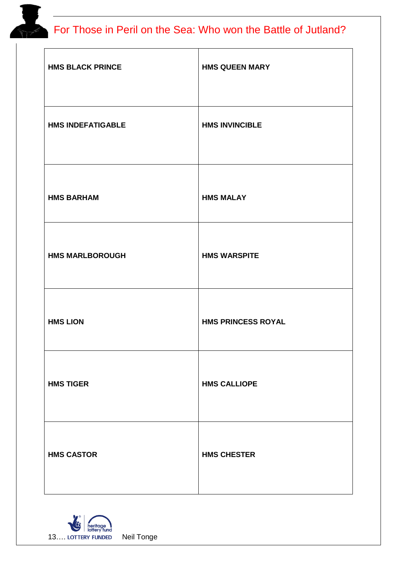| <b>HMS BLACK PRINCE</b>  | <b>HMS QUEEN MARY</b>     |
|--------------------------|---------------------------|
| <b>HMS INDEFATIGABLE</b> | <b>HMS INVINCIBLE</b>     |
| <b>HMS BARHAM</b>        | <b>HMS MALAY</b>          |
| <b>HMS MARLBOROUGH</b>   | <b>HMS WARSPITE</b>       |
| <b>HMS LION</b>          | <b>HMS PRINCESS ROYAL</b> |
| <b>HMS TIGER</b>         | <b>HMS CALLIOPE</b>       |
| <b>HMS CASTOR</b>        | <b>HMS CHESTER</b>        |

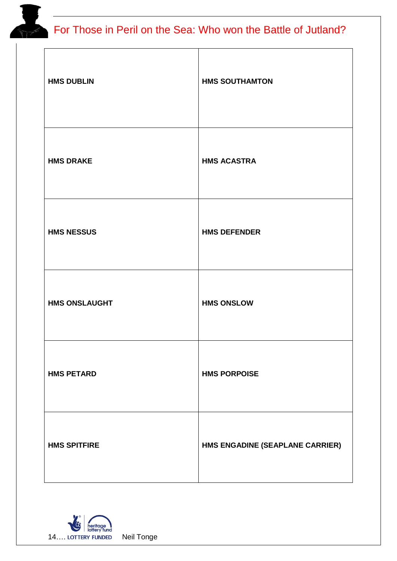| <b>HMS DUBLIN</b>    | <b>HMS SOUTHAMTON</b>           |
|----------------------|---------------------------------|
| <b>HMS DRAKE</b>     | <b>HMS ACASTRA</b>              |
| <b>HMS NESSUS</b>    | <b>HMS DEFENDER</b>             |
| <b>HMS ONSLAUGHT</b> | <b>HMS ONSLOW</b>               |
| <b>HMS PETARD</b>    | <b>HMS PORPOISE</b>             |
| <b>HMS SPITFIRE</b>  | HMS ENGADINE (SEAPLANE CARRIER) |

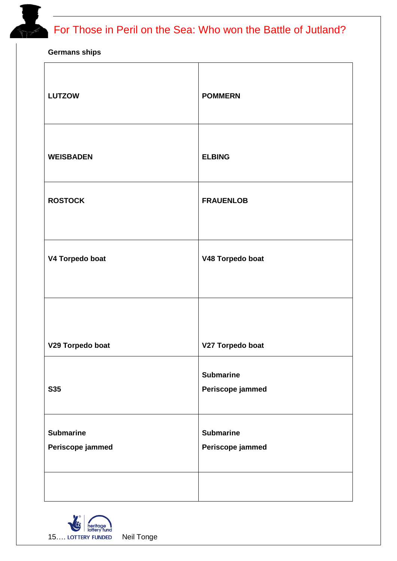**Germans ships**

| <b>LUTZOW</b>                        | <b>POMMERN</b>                       |
|--------------------------------------|--------------------------------------|
| <b>WEISBADEN</b>                     | <b>ELBING</b>                        |
| <b>ROSTOCK</b>                       | <b>FRAUENLOB</b>                     |
| V4 Torpedo boat                      | V48 Torpedo boat                     |
| V29 Torpedo boat                     | V27 Torpedo boat                     |
| <b>S35</b>                           | <b>Submarine</b><br>Periscope jammed |
| <b>Submarine</b><br>Periscope jammed | <b>Submarine</b><br>Periscope jammed |
|                                      |                                      |

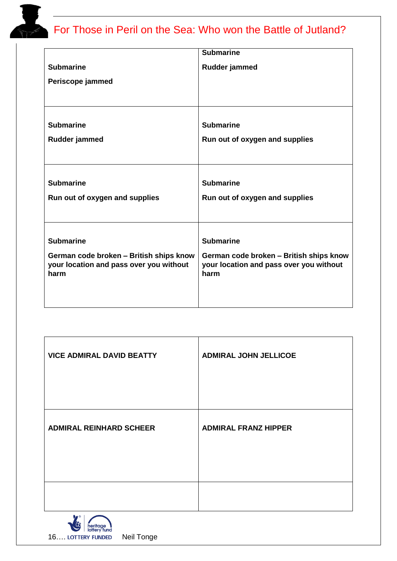|                                                                                    | <b>Submarine</b>                                                                   |
|------------------------------------------------------------------------------------|------------------------------------------------------------------------------------|
| <b>Submarine</b>                                                                   | Rudder jammed                                                                      |
| Periscope jammed                                                                   |                                                                                    |
|                                                                                    |                                                                                    |
|                                                                                    |                                                                                    |
| <b>Submarine</b>                                                                   | <b>Submarine</b>                                                                   |
| Rudder jammed                                                                      | Run out of oxygen and supplies                                                     |
|                                                                                    |                                                                                    |
|                                                                                    |                                                                                    |
| <b>Submarine</b>                                                                   | <b>Submarine</b>                                                                   |
| Run out of oxygen and supplies                                                     | Run out of oxygen and supplies                                                     |
|                                                                                    |                                                                                    |
|                                                                                    |                                                                                    |
| <b>Submarine</b>                                                                   | <b>Submarine</b>                                                                   |
| German code broken - British ships know<br>your location and pass over you without | German code broken - British ships know<br>your location and pass over you without |
| harm                                                                               | harm                                                                               |
|                                                                                    |                                                                                    |
|                                                                                    |                                                                                    |

| <b>VICE ADMIRAL DAVID BEATTY</b> | <b>ADMIRAL JOHN JELLICOE</b> |
|----------------------------------|------------------------------|
| <b>ADMIRAL REINHARD SCHEER</b>   | <b>ADMIRAL FRANZ HIPPER</b>  |
|                                  |                              |

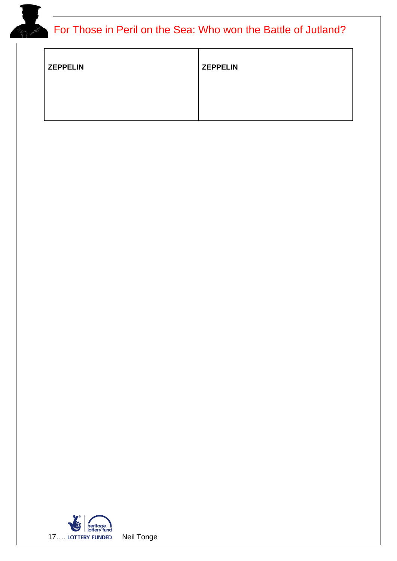| <b>ZEPPELIN</b> | <b>ZEPPELIN</b> |
|-----------------|-----------------|
|                 |                 |